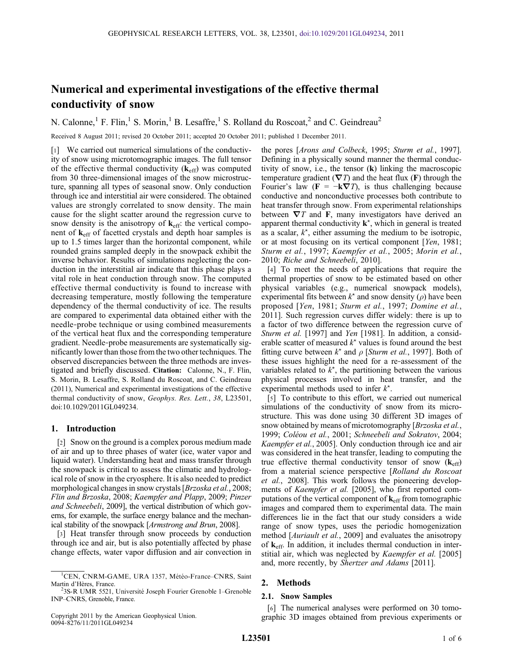# Numerical and experimental investigations of the effective thermal conductivity of snow

N. Calonne,<sup>1</sup> F. Flin,<sup>1</sup> S. Morin,<sup>1</sup> B. Lesaffre,<sup>1</sup> S. Rolland du Roscoat,<sup>2</sup> and C. Geindreau<sup>2</sup>

Received 8 August 2011; revised 20 October 2011; accepted 20 October 2011; published 1 December 2011.

[1] We carried out numerical simulations of the conductivity of snow using microtomographic images. The full tensor of the effective thermal conductivity  $(k_{\text{eff}})$  was computed from 30 three-dimensional images of the snow microstructure, spanning all types of seasonal snow. Only conduction through ice and interstitial air were considered. The obtained values are strongly correlated to snow density. The main cause for the slight scatter around the regression curve to snow density is the anisotropy of  $k_{\text{eff}}$ : the vertical component of keff of facetted crystals and depth hoar samples is up to 1.5 times larger than the horizontal component, while rounded grains sampled deeply in the snowpack exhibit the inverse behavior. Results of simulations neglecting the conduction in the interstitial air indicate that this phase plays a vital role in heat conduction through snow. The computed effective thermal conductivity is found to increase with decreasing temperature, mostly following the temperature dependency of the thermal conductivity of ice. The results are compared to experimental data obtained either with the needle‐probe technique or using combined measurements of the vertical heat flux and the corresponding temperature gradient. Needle‐probe measurements are systematically significantly lower than those from the two other techniques. The observed discrepancies between the three methods are investigated and briefly discussed. Citation: Calonne, N., F. Flin, S. Morin, B. Lesaffre, S. Rolland du Roscoat, and C. Geindreau (2011), Numerical and experimental investigations of the effective thermal conductivity of snow, Geophys. Res. Lett., 38, L23501, doi:10.1029/2011GL049234.

## 1. Introduction

[2] Snow on the ground is a complex porous medium made of air and up to three phases of water (ice, water vapor and liquid water). Understanding heat and mass transfer through the snowpack is critical to assess the climatic and hydrological role of snow in the cryosphere. It is also needed to predict morphological changes in snow crystals [Brzoska et al., 2008; Flin and Brzoska, 2008; Kaempfer and Plapp, 2009; Pinzer and Schneebeli, 2009], the vertical distribution of which governs, for example, the surface energy balance and the mechanical stability of the snowpack [Armstrong and Brun, 2008].

[3] Heat transfer through snow proceeds by conduction through ice and air, but is also potentially affected by phase change effects, water vapor diffusion and air convection in the pores [Arons and Colbeck, 1995; Sturm et al., 1997]. Defining in a physically sound manner the thermal conductivity of snow, i.e., the tensor (k) linking the macroscopic temperature gradient ( $\nabla T$ ) and the heat flux (F) through the Fourier's law  $(F = -k\nabla T)$ , is thus challenging because conductive and nonconductive processes both contribute to heat transfer through snow. From experimental relationships between  $\nabla T$  and F, many investigators have derived an apparent thermal conductivity  $\mathbf{k}^*$ , which in general is treated as a scalar,  $k^*$ , either assuming the medium to be isotropic, or at most focusing on its vertical component [Yen, 1981; Sturm et al., 1997; Kaempfer et al., 2005; Morin et al., 2010; Riche and Schneebeli, 2010].

[4] To meet the needs of applications that require the thermal properties of snow to be estimated based on other physical variables (e.g., numerical snowpack models), experimental fits between  $k^*$  and snow density ( $\rho$ ) have been proposed [Yen, 1981; Sturm et al., 1997; Domine et al., 2011]. Such regression curves differ widely: there is up to a factor of two difference between the regression curve of Sturm et al. [1997] and Yen [1981]. In addition, a considerable scatter of measured  $k^*$  values is found around the best fitting curve between  $k^*$  and  $\rho$  [*Sturm et al.*, 1997]. Both of these issues highlight the need for a re‐assessment of the variables related to  $k^*$ , the partitioning between the various physical processes involved in heat transfer, and the experimental methods used to infer  $k^*$ .

[5] To contribute to this effort, we carried out numerical simulations of the conductivity of snow from its microstructure. This was done using 30 different 3D images of snow obtained by means of microtomography [*Brzoska et al.*, 1999; Coléou et al., 2001; Schneebeli and Sokratov, 2004; Kaempfer et al., 2005]. Only conduction through ice and air was considered in the heat transfer, leading to computing the true effective thermal conductivity tensor of snow  $(k<sub>eff</sub>)$ from a material science perspective [Rolland du Roscoat et al., 2008]. This work follows the pioneering developments of Kaempfer et al. [2005], who first reported computations of the vertical component of  $k_{\text{eff}}$  from tomographic images and compared them to experimental data. The main differences lie in the fact that our study considers a wide range of snow types, uses the periodic homogenization method [Auriault et al., 2009] and evaluates the anisotropy of keff. In addition, it includes thermal conduction in interstitial air, which was neglected by *Kaempfer et al.* [2005] and, more recently, by Shertzer and Adams [2011].

# 2. Methods

## 2.1. Snow Samples

[6] The numerical analyses were performed on 30 tomographic 3D images obtained from previous experiments or

<sup>&</sup>lt;sup>1</sup>CEN, CNRM-GAME, URA 1357, Météo-France-CNRS, Saint Martin d'Hères, France.

<sup>&</sup>lt;sup>2</sup>3S-R UMR 5521, Université Joseph Fourier Grenoble 1–Grenoble INP–CNRS, Grenoble, France.

Copyright 2011 by the American Geophysical Union. 0094‐8276/11/2011GL049234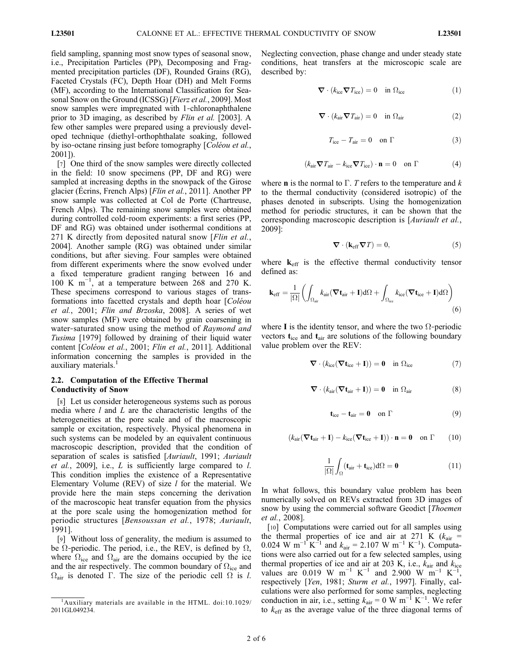field sampling, spanning most snow types of seasonal snow, i.e., Precipitation Particles (PP), Decomposing and Fragmented precipitation particles (DF), Rounded Grains (RG), Faceted Crystals (FC), Depth Hoar (DH) and Melt Forms (MF), according to the International Classification for Seasonal Snow on the Ground (ICSSG) [*Fierz et al.*, 2009]. Most snow samples were impregnated with 1-chloronaphthalene prior to 3D imaging, as described by Flin et al. [2003]. A few other samples were prepared using a previously developed technique (diethyl‐orthophthalate soaking, followed by iso-octane rinsing just before tomography [*Coléou et al.*, 2001]).

[7] One third of the snow samples were directly collected in the field: 10 snow specimens (PP, DF and RG) were sampled at increasing depths in the snowpack of the Girose glacier (Écrins, French Alps) [Flin et al., 2011]. Another PP snow sample was collected at Col de Porte (Chartreuse, French Alps). The remaining snow samples were obtained during controlled cold‐room experiments: a first series (PP, DF and RG) was obtained under isothermal conditions at 271 K directly from deposited natural snow [*Flin et al.*, 2004]. Another sample (RG) was obtained under similar conditions, but after sieving. Four samples were obtained from different experiments where the snow evolved under a fixed temperature gradient ranging between 16 and 100 K m−<sup>1</sup> , at a temperature between 268 and 270 K. These specimens correspond to various stages of transformations into facetted crystals and depth hoar [Coléou et al., 2001; Flin and Brzoska, 2008]. A series of wet snow samples (MF) were obtained by grain coarsening in water-saturated snow using the method of Raymond and Tusima [1979] followed by draining of their liquid water content [Coléou et al., 2001; Flin et al., 2011]. Additional information concerning the samples is provided in the auxiliary materials.<sup>1</sup>

## 2.2. Computation of the Effective Thermal Conductivity of Snow

[8] Let us consider heterogeneous systems such as porous media where  $l$  and  $L$  are the characteristic lengths of the heterogeneities at the pore scale and of the macroscopic sample or excitation, respectively. Physical phenomena in such systems can be modeled by an equivalent continuous macroscopic description, provided that the condition of separation of scales is satisfied [Auriault, 1991; Auriault *et al.*, 2009], i.e.,  $L$  is sufficiently large compared to  $l$ . This condition implies the existence of a Representative Elementary Volume (REV) of size  $l$  for the material. We provide here the main steps concerning the derivation of the macroscopic heat transfer equation from the physics at the pore scale using the homogenization method for periodic structures [Bensoussan et al., 1978; Auriault, 1991].

[9] Without loss of generality, the medium is assumed to be  $\Omega$ -periodic. The period, i.e., the REV, is defined by  $\Omega$ , where  $\Omega_{\text{ice}}$  and  $\Omega_{\text{air}}$  are the domains occupied by the ice and the air respectively. The common boundary of  $\Omega_{\text{ice}}$  and  $\Omega_{\text{air}}$  is denoted  $\Gamma$ . The size of the periodic cell  $\Omega$  is l. Neglecting convection, phase change and under steady state conditions, heat transfers at the microscopic scale are described by:

$$
\nabla \cdot (k_{\text{ice}} \nabla T_{\text{ice}}) = 0 \quad \text{in } \Omega_{\text{ice}} \tag{1}
$$

$$
\nabla \cdot (k_{\text{air}} \nabla T_{\text{air}}) = 0 \quad \text{in } \Omega_{\text{air}} \tag{2}
$$

$$
T_{\rm ice} - T_{\rm air} = 0 \quad \text{on } \Gamma \tag{3}
$$

$$
(k_{\text{air}} \nabla T_{\text{air}} - k_{\text{ice}} \nabla T_{\text{ice}}) \cdot \mathbf{n} = 0 \quad \text{on } \Gamma \tag{4}
$$

where **n** is the normal to  $\Gamma$ . T refers to the temperature and k to the thermal conductivity (considered isotropic) of the phases denoted in subscripts. Using the homogenization method for periodic structures, it can be shown that the corresponding macroscopic description is [Auriault et al., 2009]:

$$
\nabla \cdot (\mathbf{k}_{\text{eff}} \nabla T) = 0,\tag{5}
$$

where  $k<sub>eff</sub>$  is the effective thermal conductivity tensor defined as:

$$
\mathbf{k}_{\text{eff}} = \frac{1}{|\Omega|} \left( \int_{\Omega_{\text{air}}} k_{\text{air}} (\nabla \mathbf{t}_{\text{air}} + \mathbf{I}) d\Omega + \int_{\Omega_{\text{ice}}} k_{\text{ice}} (\nabla \mathbf{t}_{\text{ice}} + \mathbf{I}) d\Omega \right)
$$
(6)

where I is the identity tensor, and where the two  $\Omega$ -periodic vectors  $t_{\text{ice}}$  and  $t_{\text{air}}$  are solutions of the following boundary value problem over the REV:

$$
\boldsymbol{\nabla} \cdot (k_{\rm ice}(\boldsymbol{\nabla} \mathbf{t}_{\rm ice} + \mathbf{I})) = \mathbf{0} \quad \text{in } \Omega_{\rm ice} \tag{7}
$$

$$
\nabla \cdot (k_{\text{air}} (\nabla \mathbf{t}_{\text{air}} + \mathbf{I})) = \mathbf{0} \quad \text{in } \Omega_{\text{air}} \tag{8}
$$

$$
\textbf{t}_{ice}-\textbf{t}_{air}=\textbf{0} \quad \text{on } \Gamma \tag{9}
$$

$$
(k_{\text{air}}(\nabla \mathbf{t}_{\text{air}} + \mathbf{I}) - k_{\text{ice}}(\nabla \mathbf{t}_{\text{ice}} + \mathbf{I})) \cdot \mathbf{n} = \mathbf{0} \quad \text{on } \Gamma \qquad (10)
$$

$$
\frac{1}{|\Omega|} \int_{\Omega} (\mathbf{t}_{\text{air}} + \mathbf{t}_{\text{ice}}) d\Omega = \mathbf{0}
$$
 (11)

In what follows, this boundary value problem has been numerically solved on REVs extracted from 3D images of snow by using the commercial software Geodict [*Thoemen*] et al., 2008].

[10] Computations were carried out for all samples using the thermal properties of ice and air at 271 K ( $k_{\text{air}}$  = 0.024 W m<sup>-1</sup> K<sup>-1</sup> and  $k_{\text{air}} = 2.107$  W m<sup>-1</sup> K<sup>-1</sup>). Computations were also carried out for a few selected samples, using thermal properties of ice and air at 203 K, i.e.,  $k_{\text{air}}$  and  $k_{\text{ice}}$ values are 0.019 W m<sup>-1</sup> K<sup>-1</sup> and 2.900 W m<sup>-1</sup> K<sup>-1</sup>, respectively [Yen, 1981; Sturm et al., 1997]. Finally, calculations were also performed for some samples, neglecting conduction in air, i.e., setting  $k_{\text{air}} = 0 \text{ W m}^{-1} \text{ K}^{-1}$ . We refer to  $k_{\text{eff}}$  as the average value of the three diagonal terms of

<sup>&</sup>lt;sup>1</sup>Auxiliary materials are available in the HTML. doi:10.1029/ 2011GL049234.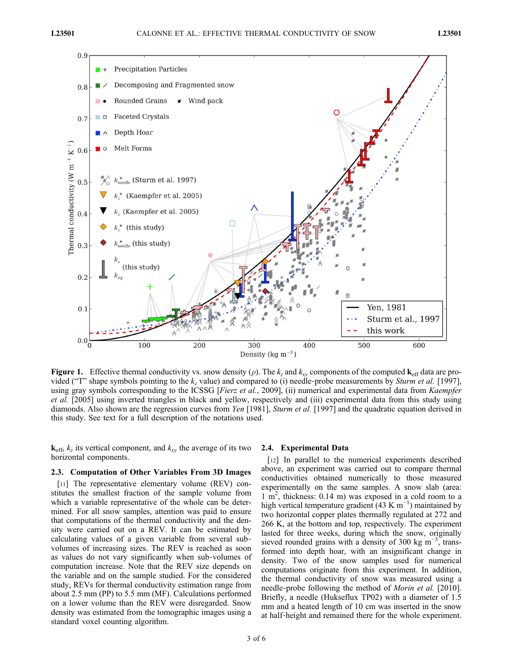

**Figure 1.** Effective thermal conductivity vs. snow density ( $\rho$ ). The  $k_z$  and  $k_{xy}$  components of the computed  $\mathbf{k}_{eff}$  data are provided ("T" shape symbols pointing to the  $k_z$  value) and compared to (i) needle-probe measurements by *Sturm et al.* [1997], using gray symbols corresponding to the ICSSG [Fierz et al., 2009], (ii) numerical and experimental data from Kaempfer et al. [2005] using inverted triangles in black and yellow, respectively and (iii) experimental data from this study using diamonds. Also shown are the regression curves from Yen [1981], Sturm et al. [1997] and the quadratic equation derived in this study. See text for a full description of the notations used.

 $\mathbf{k}_{\text{eff}}$ ,  $k_z$  its vertical component, and  $k_{xy}$  the average of its two horizontal components.

#### 2.3. Computation of Other Variables From 3D Images

[11] The representative elementary volume (REV) constitutes the smallest fraction of the sample volume from which a variable representative of the whole can be determined. For all snow samples, attention was paid to ensure that computations of the thermal conductivity and the density were carried out on a REV. It can be estimated by calculating values of a given variable from several sub‐ volumes of increasing sizes. The REV is reached as soon as values do not vary significantly when sub‐volumes of computation increase. Note that the REV size depends on the variable and on the sample studied. For the considered study, REVs for thermal conductivity estimation range from about 2.5 mm (PP) to 5.5 mm (MF). Calculations performed on a lower volume than the REV were disregarded. Snow density was estimated from the tomographic images using a standard voxel counting algorithm.

#### 2.4. Experimental Data

[12] In parallel to the numerical experiments described above, an experiment was carried out to compare thermal conductivities obtained numerically to those measured experimentally on the same samples. A snow slab (area:  $1 \text{ m}^2$ , thickness: 0.14 m) was exposed in a cold room to a high vertical temperature gradient (43 K m<sup>-1</sup>) maintained by two horizontal copper plates thermally regulated at 272 and 266 K, at the bottom and top, respectively. The experiment lasted for three weeks, during which the snow, originally sieved rounded grains with a density of 300 kg m<sup>-3</sup>, transformed into depth hoar, with an insignificant change in density. Two of the snow samples used for numerical computations originate from this experiment. In addition, the thermal conductivity of snow was measured using a needle-probe following the method of *Morin et al.* [2010]. Briefly, a needle (Hukseflux TP02) with a diameter of 1.5 mm and a heated length of 10 cm was inserted in the snow at half‐height and remained there for the whole experiment.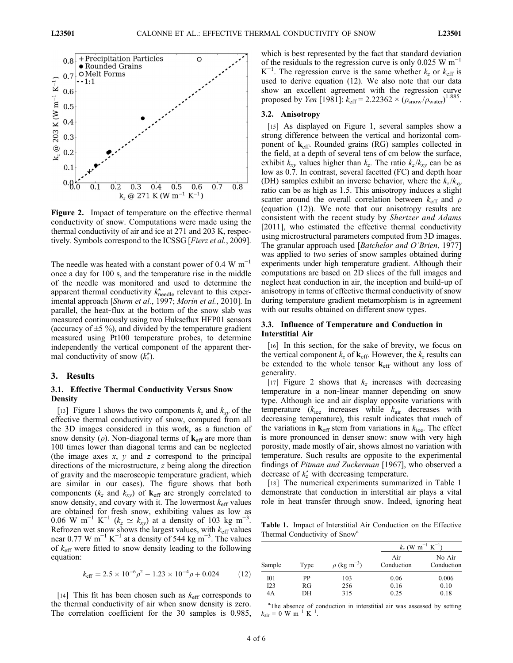

Figure 2. Impact of temperature on the effective thermal conductivity of snow. Computations were made using the thermal conductivity of air and ice at 271 and 203 K, respectively. Symbols correspond to the ICSSG [Fierz et al., 2009].

The needle was heated with a constant power of  $0.4 \text{ W m}^{-1}$ once a day for 100 s, and the temperature rise in the middle of the needle was monitored and used to determine the apparent thermal conductivity  $k_{\text{needed}}^{\star}$  relevant to this experimental approach [Sturm et al., 1997; Morin et al., 2010]. In parallel, the heat‐flux at the bottom of the snow slab was measured continuously using two Hukseflux HFP01 sensors (accuracy of  $\pm$ 5 %), and divided by the temperature gradient measured using Pt100 temperature probes, to determine independently the vertical component of the apparent thermal conductivity of snow  $(k_z^{\star})$ .

## 3. Results

## 3.1. Effective Thermal Conductivity Versus Snow **Density**

[13] Figure 1 shows the two components  $k_z$  and  $k_{xy}$  of the effective thermal conductivity of snow, computed from all the 3D images considered in this work, as a function of snow density ( $\rho$ ). Non-diagonal terms of  $\mathbf{k}_{\text{eff}}$  are more than 100 times lower than diagonal terms and can be neglected (the image axes  $x$ ,  $y$  and  $z$  correspond to the principal directions of the microstructure, z being along the direction of gravity and the macroscopic temperature gradient, which are similar in our cases). The figure shows that both components ( $k_z$  and  $k_{xy}$ ) of  $\mathbf{k}_{eff}$  are strongly correlated to snow density, and covary with it. The lowermost  $k_{\text{eff}}$  values are obtained for fresh snow, exhibiting values as low as 0.06 W m<sup>-1</sup> K<sup>-1</sup> ( $k_z \simeq k_{xy}$ ) at a density of 103 kg m<sup>-3</sup>. Refrozen wet snow shows the largest values, with  $k_{\text{eff}}$  values near 0.77 W m<sup>-1</sup> K<sup>-1</sup> at a density of 544 kg m<sup>-3</sup>. The values of  $k<sub>eff</sub>$  were fitted to snow density leading to the following equation:

$$
k_{\text{eff}} = 2.5 \times 10^{-6} \rho^2 - 1.23 \times 10^{-4} \rho + 0.024 \tag{12}
$$

[14] This fit has been chosen such as  $k_{\text{eff}}$  corresponds to the thermal conductivity of air when snow density is zero. The correlation coefficient for the 30 samples is 0.985, which is best represented by the fact that standard deviation of the residuals to the regression curve is only 0.025 W m−<sup>1</sup> K<sup>-1</sup>. The regression curve is the same whether  $k_z$  or  $k_{\text{eff}}$  is used to derive equation (12). We also note that our data show an excellent agreement with the regression curve proposed by *Yen* [1981]:  $k_{\text{eff}} = 2.22362 \times (\rho_{\text{snow}}/\rho_{\text{water}})^{1.885}$ .

#### 3.2. Anisotropy

[15] As displayed on Figure 1, several samples show a strong difference between the vertical and horizontal component of  $k_{\text{eff}}$ . Rounded grains (RG) samples collected in the field, at a depth of several tens of cm below the surface, exhibit  $k_{xy}$  values higher than  $k_z$ . The ratio  $k_z/k_{xy}$  can be as low as 0.7. In contrast, several facetted (FC) and depth hoar (DH) samples exhibit an inverse behavior, where the  $k_z/k_{\text{av}}$ ratio can be as high as 1.5. This anisotropy induces a slight scatter around the overall correlation between  $k<sub>eff</sub>$  and  $\rho$ (equation (12)). We note that our anisotropy results are consistent with the recent study by Shertzer and Adams [2011], who estimated the effective thermal conductivity using microstructural parameters computed from 3D images. The granular approach used [*Batchelor and O'Brien*, 1977] was applied to two series of snow samples obtained during experiments under high temperature gradient. Although their computations are based on 2D slices of the full images and neglect heat conduction in air, the inception and build‐up of anisotropy in terms of effective thermal conductivity of snow during temperature gradient metamorphism is in agreement with our results obtained on different snow types.

## 3.3. Influence of Temperature and Conduction in Interstitial Air

[16] In this section, for the sake of brevity, we focus on the vertical component  $k_z$  of  $\mathbf{k}_{\text{eff}}$ . However, the  $k_z$  results can be extended to the whole tensor  $\mathbf{k}_{\text{eff}}$  without any loss of generality.

[17] Figure 2 shows that  $k_z$  increases with decreasing temperature in a non‐linear manner depending on snow type. Although ice and air display opposite variations with temperature  $(k<sub>ice</sub>$  increases while  $k<sub>air</sub>$  decreases with decreasing temperature), this result indicates that much of the variations in  $k_{\text{eff}}$  stem from variations in  $k_{\text{ice}}$ . The effect is more pronounced in denser snow: snow with very high porosity, made mostly of air, shows almost no variation with temperature. Such results are opposite to the experimental findings of Pitman and Zuckerman [1967], who observed a decrease of  $k_z^*$  with decreasing temperature.

[18] The numerical experiments summarized in Table 1 demonstrate that conduction in interstitial air plays a vital role in heat transfer through snow. Indeed, ignoring heat

Table 1. Impact of Interstitial Air Conduction on the Effective Thermal Conductivity of Snow<sup>a</sup>

| Sample | Type | $\rho$ (kg m <sup>-3</sup> ) | $k_z$ (W m <sup>-1</sup> K <sup>-1</sup> ) |                      |
|--------|------|------------------------------|--------------------------------------------|----------------------|
|        |      |                              | Air<br>Conduction                          | No Air<br>Conduction |
| I01    | РP   | 103                          | 0.06                                       | 0.006                |
| I23    | RG   | 256                          | 0.16                                       | 0.10                 |
| 4A     | DН   | 315                          | 0.25                                       | 0.18                 |

<sup>a</sup>The absence of conduction in interstitial air was assessed by setting  $k_{\text{air}} = 0 \text{ W m}^{-1} \text{ K}^{-1}$ .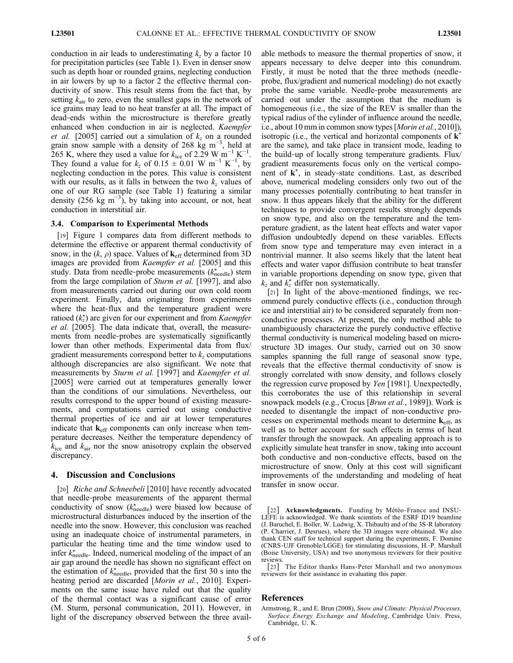conduction in air leads to underestimating  $k_z$  by a factor 10 for precipitation particles (see Table 1). Even in denser snow such as depth hoar or rounded grains, neglecting conduction in air lowers by up to a factor 2 the effective thermal conductivity of snow. This result stems from the fact that, by setting  $k_{\text{air}}$  to zero, even the smallest gaps in the network of ice grains may lead to no heat transfer at all. The impact of dead‐ends within the microstructure is therefore greatly enhanced when conduction in air is neglected. Kaempfer *et al.* [2005] carried out a simulation of  $k_z$  on a rounded grain snow sample with a density of 268  $\rm kg\ m^{-3}$ , held at 265 K, where they used a value for  $k_{\text{ice}}$  of 2.29 W m<sup>-1</sup> K<sup>-1</sup>. They found a value for  $k_z$  of 0.15  $\pm$  0.01 W m<sup>-1</sup> K<sup>-1</sup>, by neglecting conduction in the pores. This value is consistent with our results, as it falls in between the two  $k_z$  values of one of our RG sample (see Table 1) featuring a similar density (256 kg m<sup>-3</sup>), by taking into account, or not, heat conduction in interstitial air.

#### 3.4. Comparison to Experimental Methods

[19] Figure 1 compares data from different methods to determine the effective or apparent thermal conductivity of snow, in the  $(k, \rho)$  space. Values of  $k_{\text{eff}}$  determined from 3D images are provided from *Kaempfer et al.* [2005] and this study. Data from needle-probe measurements  $(k_{\text{needed}}^{\star})$  stem from the large compilation of Sturm et al. [1997], and also from measurements carried out during our own cold room experiment. Finally, data originating from experiments where the heat-flux and the temperature gradient were ratioed  $(k_z^*)$  are given for our experiment and from *Kaempfer* et al. [2005]. The data indicate that, overall, the measurements from needle‐probes are systematically significantly lower than other methods. Experimental data from flux/ gradient measurements correspond better to  $k_z$  computations although discrepancies are also significant. We note that measurements by Sturm et al. [1997] and Kaempfer et al. [2005] were carried out at temperatures generally lower than the conditions of our simulations. Nevertheless, our results correspond to the upper bound of existing measurements, and computations carried out using conductive thermal properties of ice and air at lower temperatures indicate that  $k_{\text{eff}}$  components can only increase when temperature decreases. Neither the temperature dependency of  $k_{\text{ice}}$  and  $k_{\text{air}}$  nor the snow anisotropy explain the observed discrepancy.

#### 4. Discussion and Conclusions

[20] Riche and Schneebeli [2010] have recently advocated that needle‐probe measurements of the apparent thermal conductivity of snow  $(k_{\text{needed}}^{\star})$  were biased low because of microstructural disturbances induced by the insertion of the needle into the snow. However, this conclusion was reached using an inadequate choice of instrumental parameters, in particular the heating time and the time window used to infer  $k_{\text{needed}}^*$ . Indeed, numerical modeling of the impact of an air gap around the needle has shown no significant effect on the estimation of  $k_{\text{needed}}^{\star}$ , provided that the first 30 s into the heating period are discarded [Morin et al., 2010]. Experiments on the same issue have ruled out that the quality of the thermal contact was a significant cause of error (M. Sturm, personal communication, 2011). However, in light of the discrepancy observed between the three available methods to measure the thermal properties of snow, it appears necessary to delve deeper into this conundrum. Firstly, it must be noted that the three methods (needle‐ probe, flux/gradient and numerical modeling) do not exactly probe the same variable. Needle‐probe measurements are carried out under the assumption that the medium is homogeneous (i.e., the size of the REV is smaller than the typical radius of the cylinder of influence around the needle, i.e., about 10 mm in common snow types [*Morin et al.*, 2010]), isotropic (i.e., the vertical and horizontal components of  $\mathbf{k}^*$ are the same), and take place in transient mode, leading to the build‐up of locally strong temperature gradients. Flux/ gradient measurements focus only on the vertical component of  $\mathbf{k}^*$ , in steady-state conditions. Last, as described above, numerical modeling considers only two out of the many processes potentially contributing to heat transfer in snow. It thus appears likely that the ability for the different techniques to provide convergent results strongly depends on snow type, and also on the temperature and the temperature gradient, as the latent heat effects and water vapor diffusion undoubtedly depend on these variables. Effects from snow type and temperature may even interact in a nontrivial manner. It also seems likely that the latent heat effects and water vapor diffusion contribute to heat transfer in variable proportions depending on snow type, given that  $k_z$  and  $k_z$  differ non systematically.

[21] In light of the above-mentioned findings, we recommend purely conductive effects (i.e., conduction through ice and interstitial air) to be considered separately from non‐ conductive processes. At present, the only method able to unambiguously characterize the purely conductive effective thermal conductivity is numerical modeling based on microstructure 3D images. Our study, carried out on 30 snow samples spanning the full range of seasonal snow type, reveals that the effective thermal conductivity of snow is strongly correlated with snow density, and follows closely the regression curve proposed by Yen [1981]. Unexpectedly, this corroborates the use of this relationship in several snowpack models (e.g., Crocus [*Brun et al.*, 1989]). Work is needed to disentangle the impact of non‐conductive processes on experimental methods meant to determine  $k_{\text{eff}}$ , as well as to better account for such effects in terms of heat transfer through the snowpack. An appealing approach is to explicitly simulate heat transfer in snow, taking into account both conductive and non‐conductive effects, based on the microstructure of snow. Only at this cost will significant improvements of the understanding and modeling of heat transfer in snow occur.

[22] Acknowledgments. Funding by Météo-France and INSU-LEFE is acknowledged. We thank scientists of the ESRF ID19 beamline (J. Baruchel, E. Boller, W. Ludwig, X. Thibault) and of the 3S‐R laboratory (P. Charrier, J. Desrues), where the 3D images were obtained. We also thank CEN staff for technical support during the experiments, F. Domine (CNRS‐UJF Grenoble/LGGE) for stimulating discussions, H.‐P. Marshall (Boise University, USA) and two anonymous reviewers for their positive reviews.

[23] The Editor thanks Hans-Peter Marshall and two anonymous reviewers for their assistance in evaluating this paper.

#### References

Armstrong, R., and E. Brun (2008), Snow and Climate: Physical Processes, Surface Energy Exchange and Modeling, Cambridge Univ. Press, Cambridge, U. K.